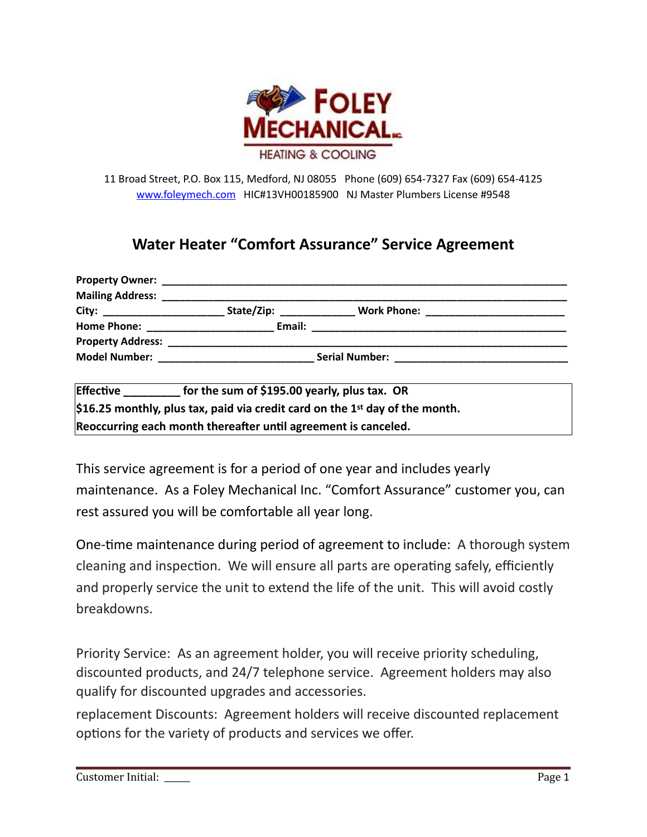

11 Broad Street, P.O. Box 115, Medford, NJ 08055 Phone (609) 654-7327 Fax (609) 654-4125 [www.foleymech.com](http://www.foleymech.com) HIC#13VH00185900 NJ Master Plumbers License #9548

### **Water Heater "Comfort Assurance" Service Agreement**

| <b>Mailing Address:</b>                                                                                                                                                                                                       |        |  |  |
|-------------------------------------------------------------------------------------------------------------------------------------------------------------------------------------------------------------------------------|--------|--|--|
| City: ________________________                                                                                                                                                                                                |        |  |  |
|                                                                                                                                                                                                                               | Email: |  |  |
|                                                                                                                                                                                                                               |        |  |  |
| Model Number: The Contract of the Contract of the Contract of the Contract of the Contract of the Contract of the Contract of the Contract of the Contract of the Contract of the Contract of the Contract of the Contract of |        |  |  |
|                                                                                                                                                                                                                               |        |  |  |

| <b>Effective</b> | for the sum of \$195.00 yearly, plus tax. OR                                                           |
|------------------|--------------------------------------------------------------------------------------------------------|
|                  | $\frac{1}{2}$ \$16.25 monthly, plus tax, paid via credit card on the 1 <sup>st</sup> day of the month. |
|                  | Reoccurring each month thereafter until agreement is canceled.                                         |

This service agreement is for a period of one year and includes yearly maintenance. As a Foley Mechanical Inc. "Comfort Assurance" customer you, can rest assured you will be comfortable all year long.

One-time maintenance during period of agreement to include: A thorough system cleaning and inspection. We will ensure all parts are operating safely, efficiently and properly service the unit to extend the life of the unit. This will avoid costly breakdowns.

Priority Service: As an agreement holder, you will receive priority scheduling, discounted products, and 24/7 telephone service. Agreement holders may also qualify for discounted upgrades and accessories.

replacement Discounts: Agreement holders will receive discounted replacement options for the variety of products and services we offer.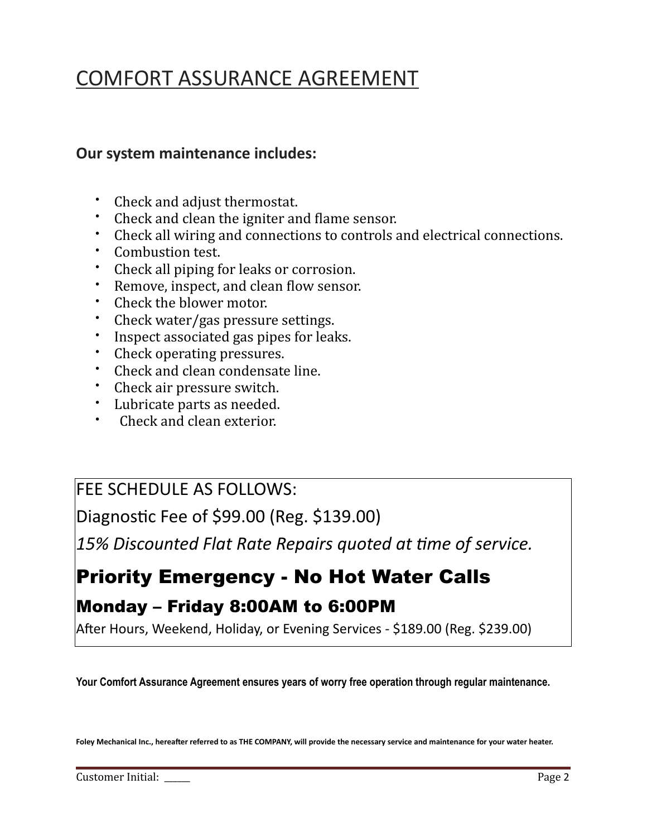# COMFORT ASSURANCE AGREEMENT

### **Our system maintenance includes:**

- Check and adjust thermostat.
- Check and clean the igniter and flame sensor.
- Check all wiring and connections to controls and electrical connections.
- Combustion test.
- Check all piping for leaks or corrosion.
- Remove, inspect, and clean flow sensor.
- Check the blower motor.
- Check water/gas pressure settings.
- Inspect associated gas pipes for leaks.
- Check operating pressures.
- Check and clean condensate line.
- Check air pressure switch.
- Lubricate parts as needed.
- Check and clean exterior.

### FEE SCHEDULE AS FOLLOWS:

Diagnostic Fee of \$99.00 (Reg. \$139.00)

15% Discounted Flat Rate Repairs quoted at time of service.

## Priority Emergency - No Hot Water Calls

## Monday – Friday 8:00AM to 6:00PM

After Hours, Weekend, Holiday, or Evening Services - \$189.00 (Reg. \$239.00)

**Your Comfort Assurance Agreement ensures years of worry free operation through regular maintenance.** 

Foley Mechanical Inc., hereafter referred to as THE COMPANY, will provide the necessary service and maintenance for your water heater.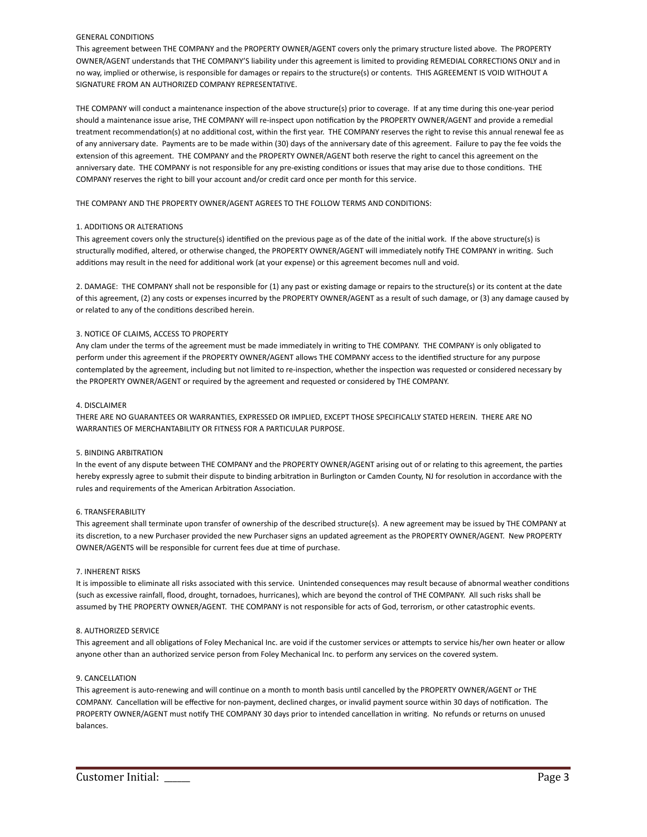#### GENERAL CONDITIONS

This agreement between THE COMPANY and the PROPERTY OWNER/AGENT covers only the primary structure listed above. The PROPERTY OWNER/AGENT understands that THE COMPANY'S liability under this agreement is limited to providing REMEDIAL CORRECTIONS ONLY and in no way, implied or otherwise, is responsible for damages or repairs to the structure(s) or contents. THIS AGREEMENT IS VOID WITHOUT A SIGNATURE FROM AN AUTHORIZED COMPANY REPRESENTATIVE.

THE COMPANY will conduct a maintenance inspection of the above structure(s) prior to coverage. If at any time during this one-year period should a maintenance issue arise, THE COMPANY will re-inspect upon notification by the PROPERTY OWNER/AGENT and provide a remedial treatment recommendation(s) at no additional cost, within the first year. THE COMPANY reserves the right to revise this annual renewal fee as of any anniversary date. Payments are to be made within (30) days of the anniversary date of this agreement. Failure to pay the fee voids the extension of this agreement. THE COMPANY and the PROPERTY OWNER/AGENT both reserve the right to cancel this agreement on the anniversary date. THE COMPANY is not responsible for any pre-existing conditions or issues that may arise due to those conditions. THE COMPANY reserves the right to bill your account and/or credit card once per month for this service.

THE COMPANY AND THE PROPERTY OWNER/AGENT AGREES TO THE FOLLOW TERMS AND CONDITIONS:

#### 1. ADDITIONS OR ALTERATIONS

This agreement covers only the structure(s) identified on the previous page as of the date of the initial work. If the above structure(s) is structurally modified, altered, or otherwise changed, the PROPERTY OWNER/AGENT will immediately notify THE COMPANY in writing. Such additions may result in the need for additional work (at your expense) or this agreement becomes null and void.

2. DAMAGE: THE COMPANY shall not be responsible for (1) any past or existing damage or repairs to the structure(s) or its content at the date of this agreement, (2) any costs or expenses incurred by the PROPERTY OWNER/AGENT as a result of such damage, or (3) any damage caused by or related to any of the conditions described herein.

#### 3. NOTICE OF CLAIMS, ACCESS TO PROPERTY

Any clam under the terms of the agreement must be made immediately in writing to THE COMPANY. THE COMPANY is only obligated to perform under this agreement if the PROPERTY OWNER/AGENT allows THE COMPANY access to the identified structure for any purpose contemplated by the agreement, including but not limited to re-inspection, whether the inspection was requested or considered necessary by the PROPERTY OWNER/AGENT or required by the agreement and requested or considered by THE COMPANY.

#### 4. DISCLAIMER

THERE ARE NO GUARANTEES OR WARRANTIES, EXPRESSED OR IMPLIED, EXCEPT THOSE SPECIFICALLY STATED HEREIN. THERE ARE NO WARRANTIES OF MERCHANTABILITY OR FITNESS FOR A PARTICULAR PURPOSE.

#### 5. BINDING ARBITRATION

In the event of any dispute between THE COMPANY and the PROPERTY OWNER/AGENT arising out of or relating to this agreement, the parties hereby expressly agree to submit their dispute to binding arbitration in Burlington or Camden County, NJ for resolution in accordance with the rules and requirements of the American Arbitration Association.

#### 6. TRANSFERABILITY

This agreement shall terminate upon transfer of ownership of the described structure(s). A new agreement may be issued by THE COMPANY at its discretion, to a new Purchaser provided the new Purchaser signs an updated agreement as the PROPERTY OWNER/AGENT. New PROPERTY OWNER/AGENTS will be responsible for current fees due at time of purchase.

#### 7. INHERENT RISKS

It is impossible to eliminate all risks associated with this service. Unintended consequences may result because of abnormal weather conditions (such as excessive rainfall, flood, drought, tornadoes, hurricanes), which are beyond the control of THE COMPANY. All such risks shall be assumed by THE PROPERTY OWNER/AGENT. THE COMPANY is not responsible for acts of God, terrorism, or other catastrophic events.

#### 8. AUTHORIZED SERVICE

This agreement and all obligations of Foley Mechanical Inc. are void if the customer services or attempts to service his/her own heater or allow anyone other than an authorized service person from Foley Mechanical Inc. to perform any services on the covered system.

#### 9. CANCELLATION

This agreement is auto-renewing and will continue on a month to month basis until cancelled by the PROPERTY OWNER/AGENT or THE COMPANY. Cancellation will be effective for non-payment, declined charges, or invalid payment source within 30 days of notification. The PROPERTY OWNER/AGENT must notify THE COMPANY 30 days prior to intended cancellation in writing. No refunds or returns on unused balances.